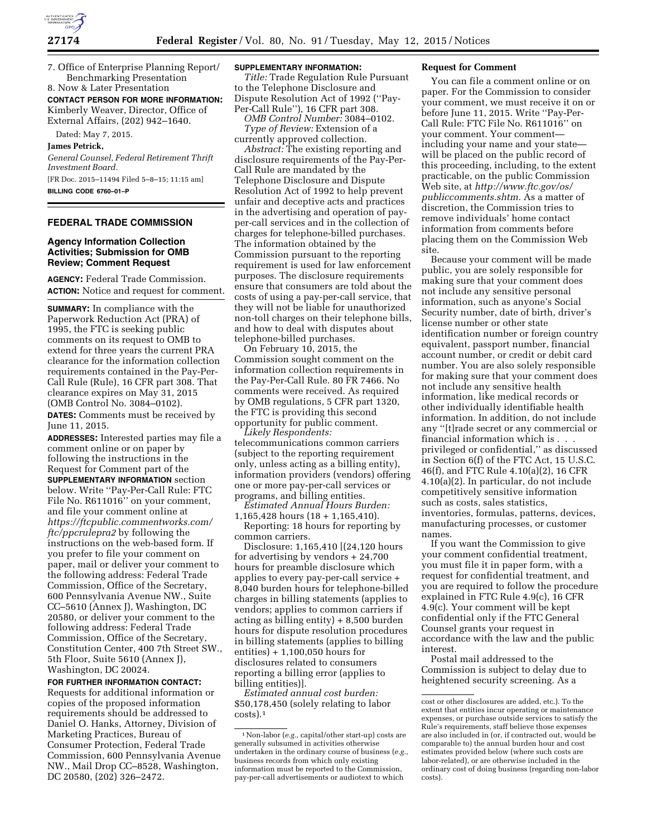7. Office of Enterprise Planning Report/ Benchmarking Presentation 8. Now & Later Presentation

**CONTACT PERSON FOR MORE INFORMATION:**  Kimberly Weaver, Director, Office of External Affairs, (202) 942–1640.

Dated: May 7, 2015.

**James Petrick,** 

*General Counsel, Federal Retirement Thrift Investment Board.* 

[FR Doc. 2015–11494 Filed 5–8–15; 11:15 am] **BILLING CODE 6760–01–P** 

## **FEDERAL TRADE COMMISSION**

# **Agency Information Collection Activities; Submission for OMB Review; Comment Request**

**AGENCY:** Federal Trade Commission. **ACTION:** Notice and request for comment.

**SUMMARY:** In compliance with the Paperwork Reduction Act (PRA) of 1995, the FTC is seeking public comments on its request to OMB to extend for three years the current PRA clearance for the information collection requirements contained in the Pay-Per-Call Rule (Rule), 16 CFR part 308. That clearance expires on May 31, 2015 (OMB Control No. 3084–0102).

**DATES:** Comments must be received by June 11, 2015.

**ADDRESSES:** Interested parties may file a comment online or on paper by following the instructions in the Request for Comment part of the **SUPPLEMENTARY INFORMATION** section below. Write ''Pay-Per-Call Rule: FTC File No. R611016'' on your comment, and file your comment online at *[https://ftcpublic.commentworks.com/](https://ftcpublic.commentworks.com/ftc/ppcrulepra2) [ftc/ppcrulepra2](https://ftcpublic.commentworks.com/ftc/ppcrulepra2)* by following the instructions on the web-based form. If you prefer to file your comment on paper, mail or deliver your comment to the following address: Federal Trade Commission, Office of the Secretary, 600 Pennsylvania Avenue NW., Suite CC–5610 (Annex J), Washington, DC 20580, or deliver your comment to the following address: Federal Trade Commission, Office of the Secretary, Constitution Center, 400 7th Street SW., 5th Floor, Suite 5610 (Annex J), Washington, DC 20024.

**FOR FURTHER INFORMATION CONTACT:** 

Requests for additional information or copies of the proposed information requirements should be addressed to Daniel O. Hanks, Attorney, Division of Marketing Practices, Bureau of Consumer Protection, Federal Trade Commission, 600 Pennsylvania Avenue NW., Mail Drop CC–8528, Washington, DC 20580, (202) 326–2472.

#### **SUPPLEMENTARY INFORMATION:**

*Title:* Trade Regulation Rule Pursuant to the Telephone Disclosure and Dispute Resolution Act of 1992 (''Pay-Per-Call Rule''), 16 CFR part 308.

*OMB Control Number:* 3084–0102. *Type of Review:* Extension of a currently approved collection.

*Abstract:* The existing reporting and disclosure requirements of the Pay-Per-Call Rule are mandated by the Telephone Disclosure and Dispute Resolution Act of 1992 to help prevent unfair and deceptive acts and practices in the advertising and operation of payper-call services and in the collection of charges for telephone-billed purchases. The information obtained by the Commission pursuant to the reporting requirement is used for law enforcement purposes. The disclosure requirements ensure that consumers are told about the costs of using a pay-per-call service, that they will not be liable for unauthorized non-toll charges on their telephone bills, and how to deal with disputes about telephone-billed purchases.

On February 10, 2015, the Commission sought comment on the information collection requirements in the Pay-Per-Call Rule. 80 FR 7466. No comments were received. As required by OMB regulations, 5 CFR part 1320, the FTC is providing this second opportunity for public comment.

*Likely Respondents:*  telecommunications common carriers (subject to the reporting requirement only, unless acting as a billing entity), information providers (vendors) offering one or more pay-per-call services or programs, and billing entities.

*Estimated Annual Hours Burden:*  1,165,428 hours (18 + 1,165,410).

Reporting: 18 hours for reporting by common carriers.

Disclosure: 1,165,410 [(24,120 hours for advertising by vendors + 24,700 hours for preamble disclosure which applies to every pay-per-call service + 8,040 burden hours for telephone-billed charges in billing statements (applies to vendors; applies to common carriers if acting as billing entity) + 8,500 burden hours for dispute resolution procedures in billing statements (applies to billing entities) + 1,100,050 hours for disclosures related to consumers reporting a billing error (applies to billing entities)].

*Estimated annual cost burden:*  \$50,178,450 (solely relating to labor costs).1

#### **Request for Comment**

You can file a comment online or on paper. For the Commission to consider your comment, we must receive it on or before June 11, 2015. Write ''Pay-Per-Call Rule: FTC File No. R611016'' on your comment. Your comment including your name and your state will be placed on the public record of this proceeding, including, to the extent practicable, on the public Commission Web site, at *[http://www.ftc.gov/os/](http://www.ftc.gov/os/publiccomments.shtm) [publiccomments.shtm.](http://www.ftc.gov/os/publiccomments.shtm)* As a matter of discretion, the Commission tries to remove individuals' home contact information from comments before placing them on the Commission Web site.

Because your comment will be made public, you are solely responsible for making sure that your comment does not include any sensitive personal information, such as anyone's Social Security number, date of birth, driver's license number or other state identification number or foreign country equivalent, passport number, financial account number, or credit or debit card number. You are also solely responsible for making sure that your comment does not include any sensitive health information, like medical records or other individually identifiable health information. In addition, do not include any ''[t]rade secret or any commercial or financial information which is . . . privileged or confidential,'' as discussed in Section 6(f) of the FTC Act, 15 U.S.C. 46(f), and FTC Rule 4.10(a)(2), 16 CFR 4.10(a)(2). In particular, do not include competitively sensitive information such as costs, sales statistics, inventories, formulas, patterns, devices, manufacturing processes, or customer names.

If you want the Commission to give your comment confidential treatment, you must file it in paper form, with a request for confidential treatment, and you are required to follow the procedure explained in FTC Rule 4.9(c), 16 CFR 4.9(c). Your comment will be kept confidential only if the FTC General Counsel grants your request in accordance with the law and the public interest.

Postal mail addressed to the Commission is subject to delay due to heightened security screening. As a

<sup>1</sup>Non-labor (*e.g.,* capital/other start-up) costs are generally subsumed in activities otherwise undertaken in the ordinary course of business (*e.g.,*  business records from which only existing information must be reported to the Commission, pay-per-call advertisements or audiotext to which

cost or other disclosures are added, etc.). To the extent that entities incur operating or maintenance expenses, or purchase outside services to satisfy the Rule's requirements, staff believe those expenses are also included in (or, if contracted out, would be comparable to) the annual burden hour and cost estimates provided below (where such costs are labor-related), or are otherwise included in the ordinary cost of doing business (regarding non-labor costs).